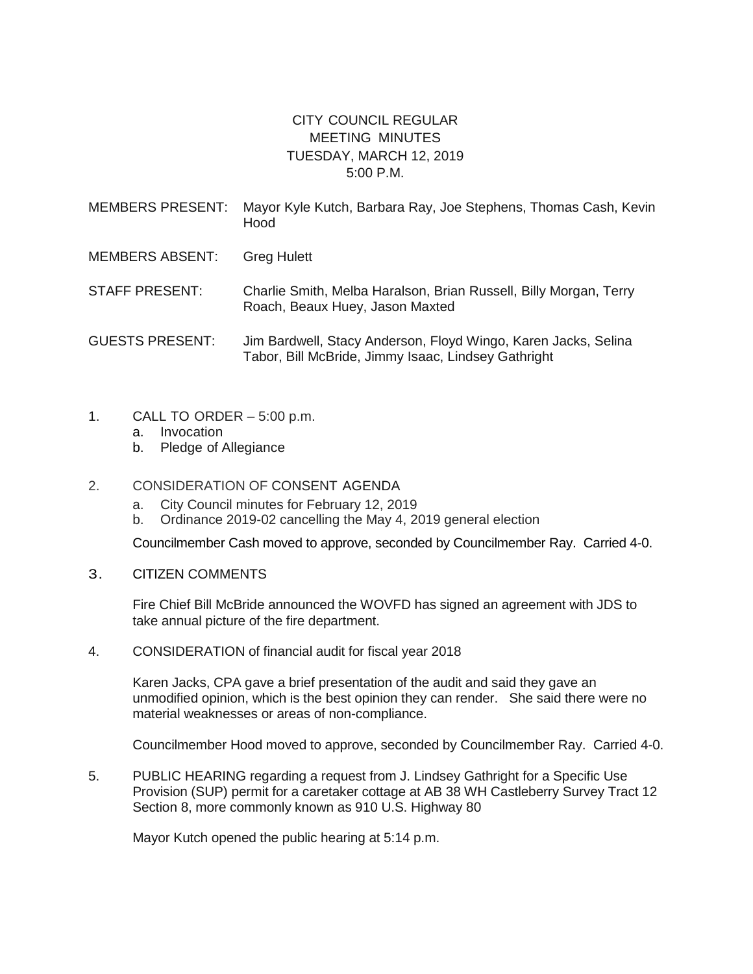## CITY COUNCIL REGULAR MEETING MINUTES TUESDAY, MARCH 12, 2019 5:00 P.M.

| MEMBERS PRESENT: Mayor Kyle Kutch, Barbara Ray, Joe Stephens, Thomas Cash, Kevin |
|----------------------------------------------------------------------------------|
| Hood                                                                             |
|                                                                                  |

MEMBERS ABSENT: Greg Hulett

STAFF PRESENT: Charlie Smith, Melba Haralson, Brian Russell, Billy Morgan, Terry Roach, Beaux Huey, Jason Maxted

- GUESTS PRESENT: Jim Bardwell, Stacy Anderson, Floyd Wingo, Karen Jacks, Selina Tabor, Bill McBride, Jimmy Isaac, Lindsey Gathright
- 1. CALL TO ORDER 5:00 p.m.
	- a. Invocation
	- b. Pledge of Allegiance
- 2. CONSIDERATION OF CONSENT AGENDA
	- a. City Council minutes for February 12, 2019
	- b. Ordinance 2019-02 cancelling the May 4, 2019 general election

Councilmember Cash moved to approve, seconded by Councilmember Ray. Carried 4-0.

3. CITIZEN COMMENTS

Fire Chief Bill McBride announced the WOVFD has signed an agreement with JDS to take annual picture of the fire department.

4. CONSIDERATION of financial audit for fiscal year 2018

Karen Jacks, CPA gave a brief presentation of the audit and said they gave an unmodified opinion, which is the best opinion they can render. She said there were no material weaknesses or areas of non-compliance.

Councilmember Hood moved to approve, seconded by Councilmember Ray. Carried 4-0.

5. PUBLIC HEARING regarding a request from J. Lindsey Gathright for a Specific Use Provision (SUP) permit for a caretaker cottage at AB 38 WH Castleberry Survey Tract 12 Section 8, more commonly known as 910 U.S. Highway 80

Mayor Kutch opened the public hearing at 5:14 p.m.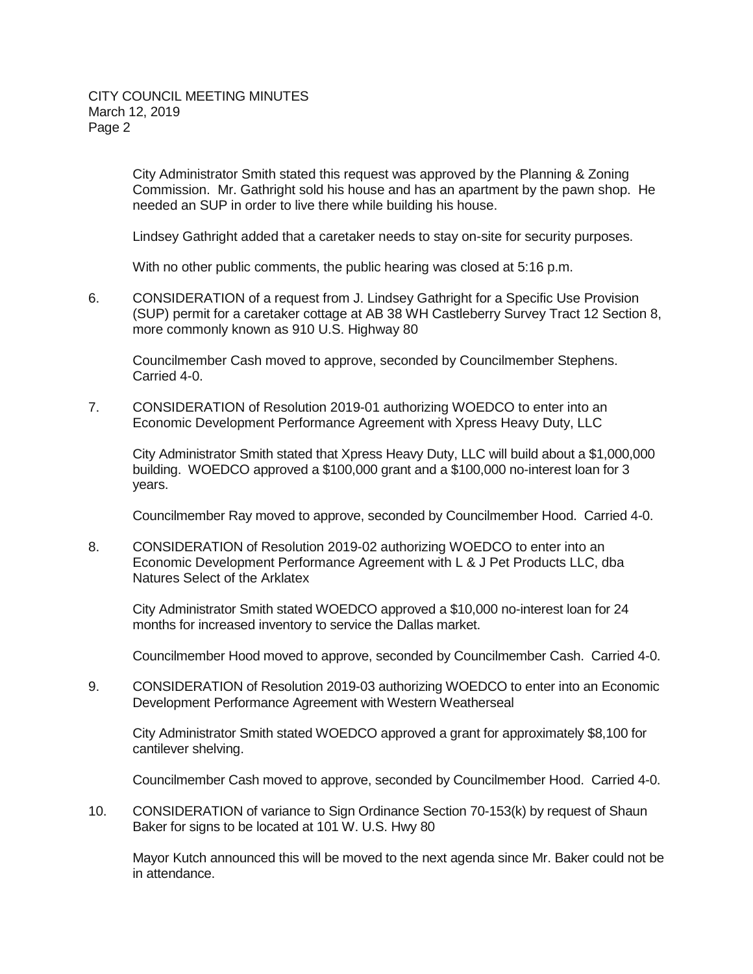City Administrator Smith stated this request was approved by the Planning & Zoning Commission. Mr. Gathright sold his house and has an apartment by the pawn shop. He needed an SUP in order to live there while building his house.

Lindsey Gathright added that a caretaker needs to stay on-site for security purposes.

With no other public comments, the public hearing was closed at 5:16 p.m.

6. CONSIDERATION of a request from J. Lindsey Gathright for a Specific Use Provision (SUP) permit for a caretaker cottage at AB 38 WH Castleberry Survey Tract 12 Section 8, more commonly known as 910 U.S. Highway 80

Councilmember Cash moved to approve, seconded by Councilmember Stephens. Carried 4-0.

7. CONSIDERATION of Resolution 2019-01 authorizing WOEDCO to enter into an Economic Development Performance Agreement with Xpress Heavy Duty, LLC

City Administrator Smith stated that Xpress Heavy Duty, LLC will build about a \$1,000,000 building. WOEDCO approved a \$100,000 grant and a \$100,000 no-interest loan for 3 years.

Councilmember Ray moved to approve, seconded by Councilmember Hood. Carried 4-0.

8. CONSIDERATION of Resolution 2019-02 authorizing WOEDCO to enter into an Economic Development Performance Agreement with L & J Pet Products LLC, dba Natures Select of the Arklatex

City Administrator Smith stated WOEDCO approved a \$10,000 no-interest loan for 24 months for increased inventory to service the Dallas market.

Councilmember Hood moved to approve, seconded by Councilmember Cash. Carried 4-0.

9. CONSIDERATION of Resolution 2019-03 authorizing WOEDCO to enter into an Economic Development Performance Agreement with Western Weatherseal

City Administrator Smith stated WOEDCO approved a grant for approximately \$8,100 for cantilever shelving.

Councilmember Cash moved to approve, seconded by Councilmember Hood. Carried 4-0.

10. CONSIDERATION of variance to Sign Ordinance Section 70-153(k) by request of Shaun Baker for signs to be located at 101 W. U.S. Hwy 80

Mayor Kutch announced this will be moved to the next agenda since Mr. Baker could not be in attendance.